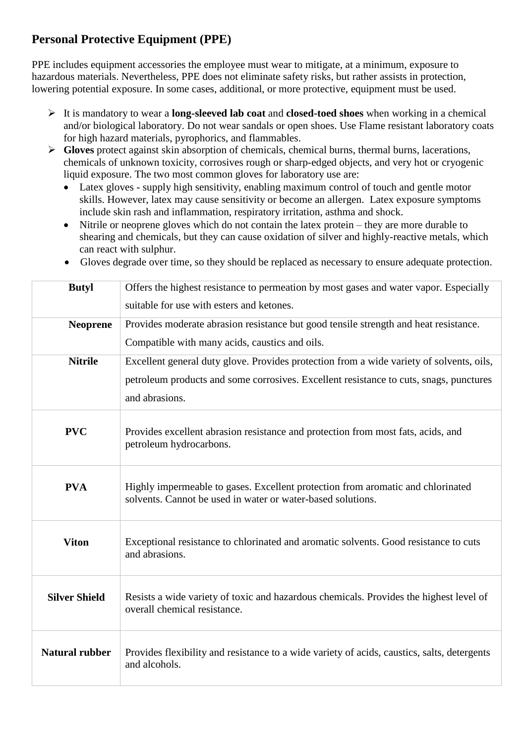## **Personal Protective Equipment (PPE)**

PPE includes equipment accessories the employee must wear to mitigate, at a minimum, exposure to hazardous materials. Nevertheless, PPE does not eliminate safety risks, but rather assists in protection, lowering potential exposure. In some cases, additional, or more protective, equipment must be used.

- It is mandatory to wear a **long-sleeved lab coat** and **closed-toed shoes** when working in a chemical and/or biological laboratory. Do not wear sandals or open shoes. Use Flame resistant laboratory coats for high hazard materials, pyrophorics, and flammables.
- **Gloves** protect against skin absorption of chemicals, chemical burns, thermal burns, lacerations, chemicals of unknown toxicity, corrosives rough or sharp-edged objects, and very hot or cryogenic liquid exposure. The two most common gloves for laboratory use are:
	- Latex gloves supply high sensitivity, enabling maximum control of touch and gentle motor skills. However, latex may cause sensitivity or become an allergen. Latex exposure symptoms include skin rash and inflammation, respiratory irritation, asthma and shock.
	- Nitrile or neoprene gloves which do not contain the latex protein they are more durable to shearing and chemicals, but they can cause oxidation of silver and highly-reactive metals, which can react with sulphur.
	- Gloves degrade over time, so they should be replaced as necessary to ensure adequate protection.

| <b>Butyl</b>          | Offers the highest resistance to permeation by most gases and water vapor. Especially<br>suitable for use with esters and ketones.             |
|-----------------------|------------------------------------------------------------------------------------------------------------------------------------------------|
| <b>Neoprene</b>       | Provides moderate abrasion resistance but good tensile strength and heat resistance.                                                           |
|                       | Compatible with many acids, caustics and oils.                                                                                                 |
| <b>Nitrile</b>        | Excellent general duty glove. Provides protection from a wide variety of solvents, oils,                                                       |
|                       | petroleum products and some corrosives. Excellent resistance to cuts, snags, punctures                                                         |
|                       | and abrasions.                                                                                                                                 |
| <b>PVC</b>            | Provides excellent abrasion resistance and protection from most fats, acids, and<br>petroleum hydrocarbons.                                    |
| <b>PVA</b>            | Highly impermeable to gases. Excellent protection from aromatic and chlorinated<br>solvents. Cannot be used in water or water-based solutions. |
| <b>Viton</b>          | Exceptional resistance to chlorinated and aromatic solvents. Good resistance to cuts<br>and abrasions.                                         |
| <b>Silver Shield</b>  | Resists a wide variety of toxic and hazardous chemicals. Provides the highest level of<br>overall chemical resistance.                         |
| <b>Natural rubber</b> | Provides flexibility and resistance to a wide variety of acids, caustics, salts, detergents<br>and alcohols.                                   |